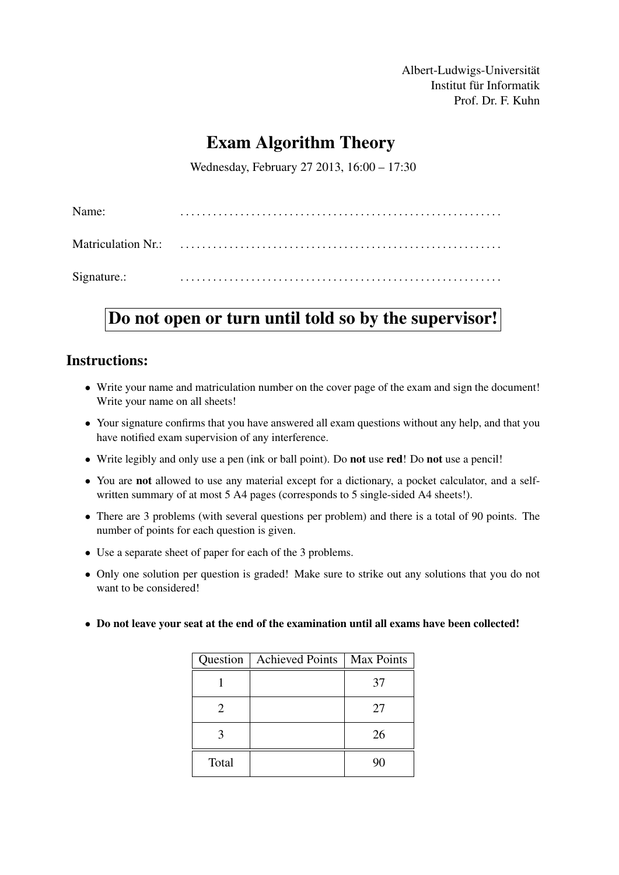Albert-Ludwigs-Universität Institut für Informatik Prof. Dr. F. Kuhn

# Exam Algorithm Theory

Wednesday, February 27 2013, 16:00 – 17:30

| Name:       |  |
|-------------|--|
|             |  |
| Signature.: |  |

# Do not open or turn until told so by the supervisor!

# Instructions:

- Write your name and matriculation number on the cover page of the exam and sign the document! Write your name on all sheets!
- Your signature confirms that you have answered all exam questions without any help, and that you have notified exam supervision of any interference.
- Write legibly and only use a pen (ink or ball point). Do not use red! Do not use a pencil!
- You are not allowed to use any material except for a dictionary, a pocket calculator, and a selfwritten summary of at most 5 A4 pages (corresponds to 5 single-sided A4 sheets!).
- There are 3 problems (with several questions per problem) and there is a total of 90 points. The number of points for each question is given.
- Use a separate sheet of paper for each of the 3 problems.
- Only one solution per question is graded! Make sure to strike out any solutions that you do not want to be considered!
- Do not leave your seat at the end of the examination until all exams have been collected!

|                       | Question   Achieved Points | Max Points |
|-----------------------|----------------------------|------------|
|                       |                            | 37         |
| $\mathcal{D}_{\cdot}$ |                            | 27         |
|                       |                            | 26         |
| Total                 |                            | 90         |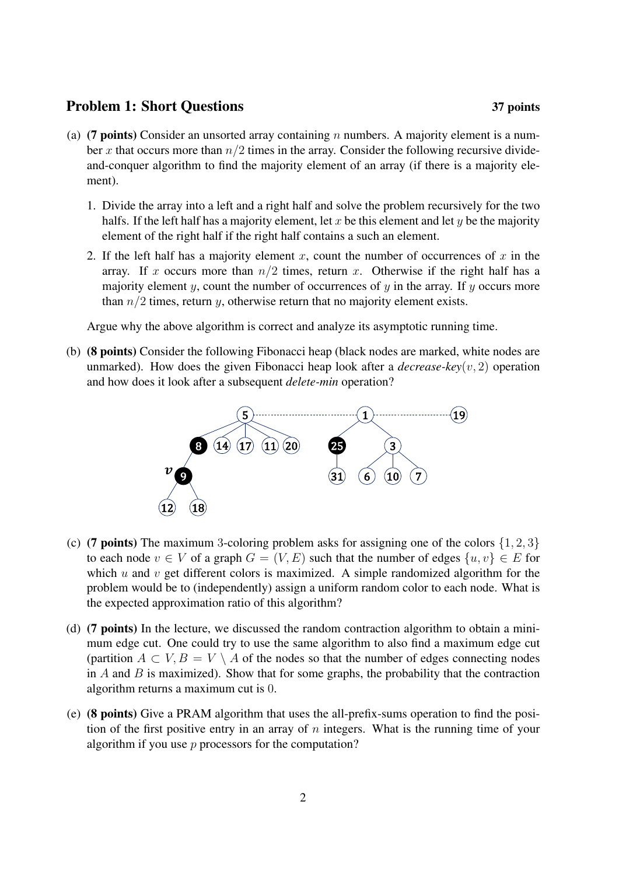### Problem 1: Short Questions 37 points

- (a) (7 points) Consider an unsorted array containing n numbers. A majority element is a number x that occurs more than  $n/2$  times in the array. Consider the following recursive divideand-conquer algorithm to find the majority element of an array (if there is a majority element).
	- 1. Divide the array into a left and a right half and solve the problem recursively for the two halfs. If the left half has a majority element, let x be this element and let y be the majority element of the right half if the right half contains a such an element.
	- 2. If the left half has a majority element x, count the number of occurrences of x in the array. If x occurs more than  $n/2$  times, return x. Otherwise if the right half has a majority element y, count the number of occurrences of  $y$  in the array. If  $y$  occurs more than  $n/2$  times, return y, otherwise return that no majority element exists.

Argue why the above algorithm is correct and analyze its asymptotic running time.

(b) (8 points) Consider the following Fibonacci heap (black nodes are marked, white nodes are unmarked). How does the given Fibonacci heap look after a *decrease-key*(v, 2) operation and how does it look after a subsequent *delete-min* operation?



- (c) (7 points) The maximum 3-coloring problem asks for assigning one of the colors  $\{1, 2, 3\}$ to each node  $v \in V$  of a graph  $G = (V, E)$  such that the number of edges  $\{u, v\} \in E$  for which  $u$  and  $v$  get different colors is maximized. A simple randomized algorithm for the problem would be to (independently) assign a uniform random color to each node. What is the expected approximation ratio of this algorithm?
- (d) (7 points) In the lecture, we discussed the random contraction algorithm to obtain a minimum edge cut. One could try to use the same algorithm to also find a maximum edge cut (partition  $A \subset V$ ,  $B = V \setminus A$  of the nodes so that the number of edges connecting nodes in  $\overline{A}$  and  $\overline{B}$  is maximized). Show that for some graphs, the probability that the contraction algorithm returns a maximum cut is 0.
- (e) (8 points) Give a PRAM algorithm that uses the all-prefix-sums operation to find the position of the first positive entry in an array of  $n$  integers. What is the running time of your algorithm if you use  $p$  processors for the computation?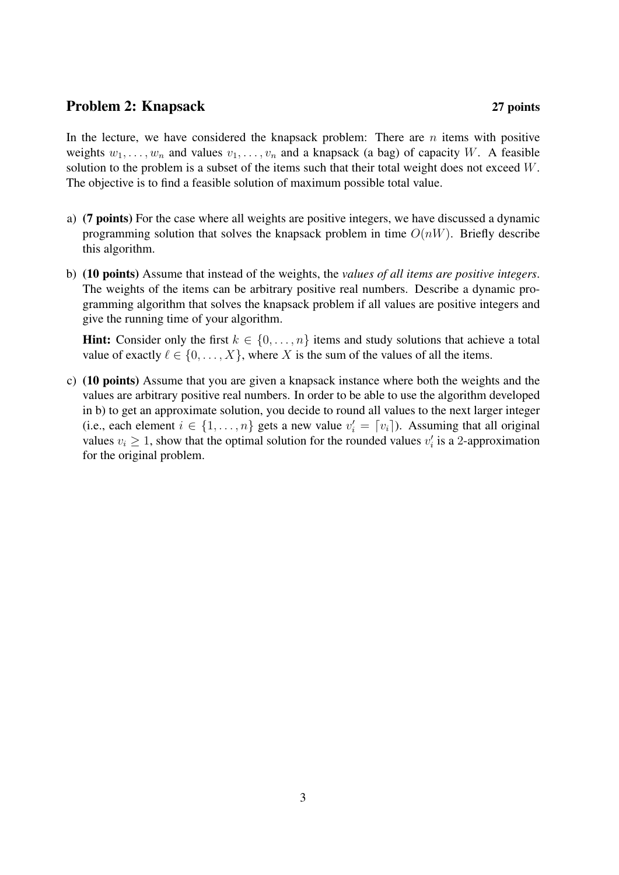## Problem 2: Knapsack 27 points

In the lecture, we have considered the knapsack problem: There are  $n$  items with positive weights  $w_1, \ldots, w_n$  and values  $v_1, \ldots, v_n$  and a knapsack (a bag) of capacity W. A feasible solution to the problem is a subset of the items such that their total weight does not exceed W. The objective is to find a feasible solution of maximum possible total value.

- a) (7 points) For the case where all weights are positive integers, we have discussed a dynamic programming solution that solves the knapsack problem in time  $O(nW)$ . Briefly describe this algorithm.
- b) (10 points) Assume that instead of the weights, the *values of all items are positive integers*. The weights of the items can be arbitrary positive real numbers. Describe a dynamic programming algorithm that solves the knapsack problem if all values are positive integers and give the running time of your algorithm.

**Hint:** Consider only the first  $k \in \{0, \ldots, n\}$  items and study solutions that achieve a total value of exactly  $\ell \in \{0, \ldots, X\}$ , where X is the sum of the values of all the items.

c) (10 points) Assume that you are given a knapsack instance where both the weights and the values are arbitrary positive real numbers. In order to be able to use the algorithm developed in b) to get an approximate solution, you decide to round all values to the next larger integer (i.e., each element  $i \in \{1, ..., n\}$  gets a new value  $v'_i = [v_i]$ ). Assuming that all original values  $v_i \geq 1$ , show that the optimal solution for the rounded values  $v_i$  is a 2-approximation for the original problem.